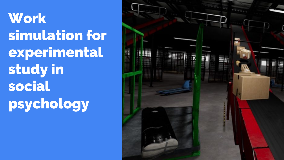# **Work** simulation for experimental study in social psychology

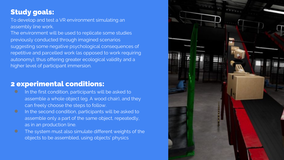## Study goals:

To develop and test a VR environment simulating an assembly line work.

The environment will be used to replicate some studies previously conducted through imagined scenarios suggesting some negative psychological consequences of repetitive and parcelled work (as opposed to work requiring autonomy), thus offering greater ecological validity and a higher level of participant immersion.

#### 2 experimental conditions:

- In the first condition, participants will be asked to assemble a whole object (eg. A wood chair), and they can freely choose the steps to follow.
- **•** In the second condition, participants will be asked to assemble only a part of the same object, repeatedly, as in an production line.
- **O** The system must also simulate different weights of the objects to be assembled, using objects' physics

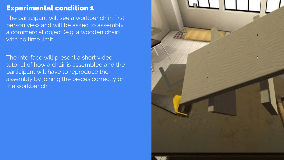## Experimental condition 1

The participant will see a workbench in first person view and will be asked to assembly a commercial object (e.g. a wooden chair) with no time limit.

The interface will present a short video tutorial of how a chair is assembled and the participant will have to reproduce the assembly by joining the pieces correctly on the workbench.

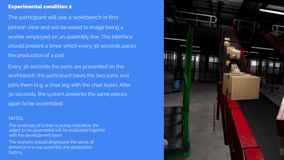#### Experimental condition 2

The participant will see a workbench in first person view and will be asked to image being a worker employed on an assembly line. The interface should present a timer which every 30 seconds paces the production of a part.

Every 30 seconds the parts are presented on the workbench, the participant takes the two parts and joins them (e.g. a chair leg with the chair base). After 30 seconds, the system presents the same pieces again to be assembled.

#### **NOTES**

The assemply of a chair is purely indicative, the object to be assembled will be evaluated together with the development team

The scenario should emphasise the sense of presence in a real assembly line production factory.